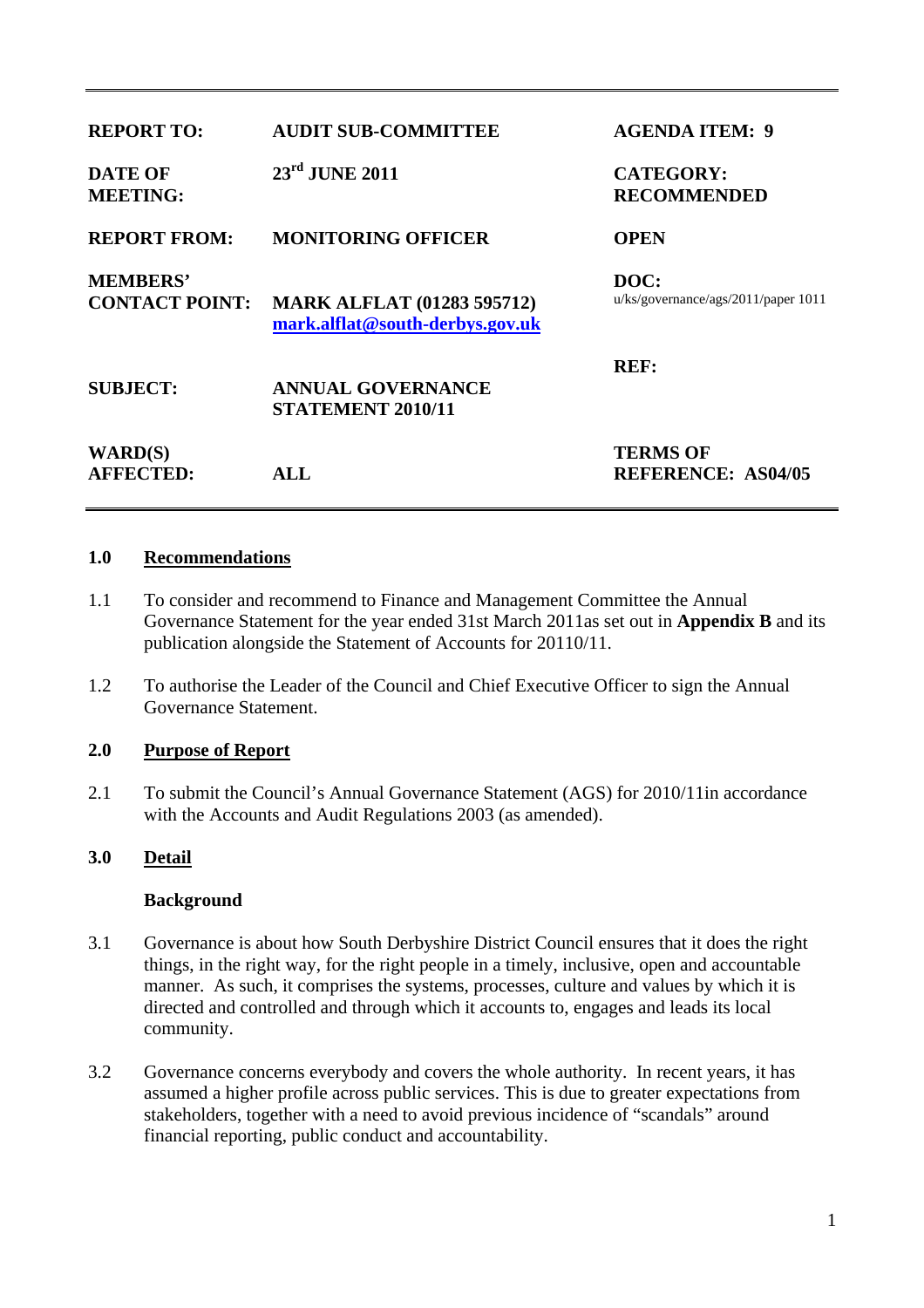| <b>REPORT TO:</b>                        | <b>AUDIT SUB-COMMITTEE</b>                                           | <b>AGENDA ITEM: 9</b>                        |
|------------------------------------------|----------------------------------------------------------------------|----------------------------------------------|
| <b>DATE OF</b><br><b>MEETING:</b>        | $23rd$ JUNE 2011                                                     | <b>CATEGORY:</b><br><b>RECOMMENDED</b>       |
| <b>REPORT FROM:</b>                      | <b>MONITORING OFFICER</b>                                            | <b>OPEN</b>                                  |
| <b>MEMBERS'</b><br><b>CONTACT POINT:</b> | <b>MARK ALFLAT (01283 595712)</b><br>mark.alflat@south-derbys.gov.uk | DOC:<br>u/kg/goverance/ags/2011/paper 1011   |
| <b>SUBJECT:</b>                          | <b>ANNUAL GOVERNANCE</b><br><b>STATEMENT 2010/11</b>                 | <b>REF:</b>                                  |
| <b>WARD(S)</b><br><b>AFFECTED:</b>       | ALL                                                                  | <b>TERMS OF</b><br><b>REFERENCE: AS04/05</b> |

#### **1.0 Recommendations**

- 1.1 To consider and recommend to Finance and Management Committee the Annual Governance Statement for the year ended 31st March 2011as set out in **Appendix B** and its publication alongside the Statement of Accounts for 20110/11.
- 1.2 To authorise the Leader of the Council and Chief Executive Officer to sign the Annual Governance Statement.

# **2.0 Purpose of Report**

2.1 To submit the Council's Annual Governance Statement (AGS) for 2010/11in accordance with the Accounts and Audit Regulations 2003 (as amended).

# **3.0 Detail**

#### **Background**

- 3.1 Governance is about how South Derbyshire District Council ensures that it does the right things, in the right way, for the right people in a timely, inclusive, open and accountable manner. As such, it comprises the systems, processes, culture and values by which it is directed and controlled and through which it accounts to, engages and leads its local community.
- 3.2 Governance concerns everybody and covers the whole authority. In recent years, it has assumed a higher profile across public services. This is due to greater expectations from stakeholders, together with a need to avoid previous incidence of "scandals" around financial reporting, public conduct and accountability.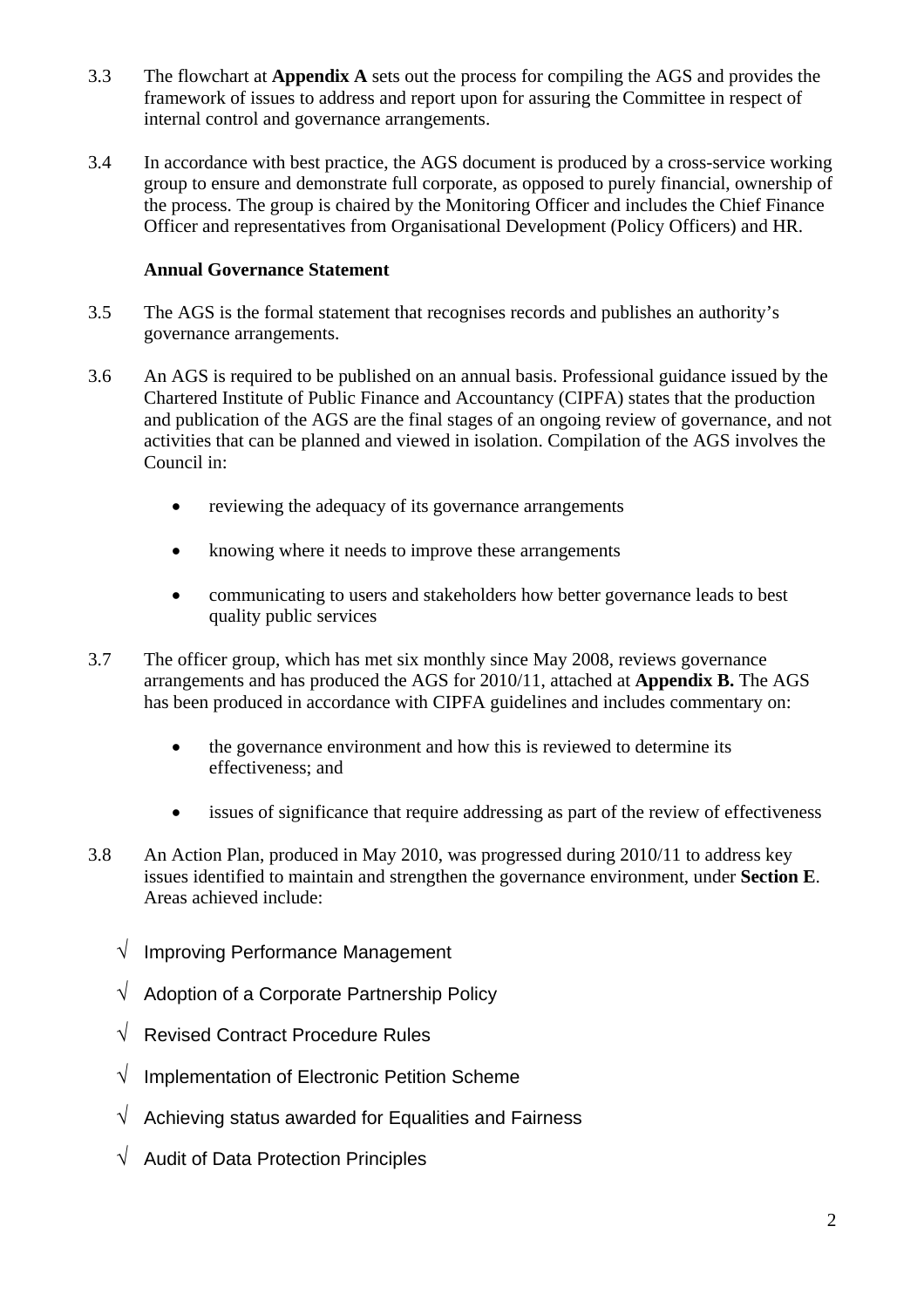- 3.3 The flowchart at **Appendix A** sets out the process for compiling the AGS and provides the framework of issues to address and report upon for assuring the Committee in respect of internal control and governance arrangements.
- 3.4 In accordance with best practice, the AGS document is produced by a cross-service working group to ensure and demonstrate full corporate, as opposed to purely financial, ownership of the process. The group is chaired by the Monitoring Officer and includes the Chief Finance Officer and representatives from Organisational Development (Policy Officers) and HR.

# **Annual Governance Statement**

- 3.5 The AGS is the formal statement that recognises records and publishes an authority's governance arrangements.
- 3.6 An AGS is required to be published on an annual basis. Professional guidance issued by the Chartered Institute of Public Finance and Accountancy (CIPFA) states that the production and publication of the AGS are the final stages of an ongoing review of governance, and not activities that can be planned and viewed in isolation. Compilation of the AGS involves the Council in:
	- reviewing the adequacy of its governance arrangements
	- knowing where it needs to improve these arrangements
	- communicating to users and stakeholders how better governance leads to best quality public services
- 3.7 The officer group, which has met six monthly since May 2008, reviews governance arrangements and has produced the AGS for 2010/11, attached at **Appendix B.** The AGS has been produced in accordance with CIPFA guidelines and includes commentary on:
	- the governance environment and how this is reviewed to determine its effectiveness; and
	- issues of significance that require addressing as part of the review of effectiveness
- 3.8 An Action Plan, produced in May 2010, was progressed during 2010/11 to address key issues identified to maintain and strengthen the governance environment, under **Section E**. Areas achieved include:
	- √ Improving Performance Management
	- $\sqrt{\phantom{a}}$  Adoption of a Corporate Partnership Policy
	- √ Revised Contract Procedure Rules
	- $\sqrt{\phantom{a}}$  Implementation of Electronic Petition Scheme
	- $\sqrt{\phantom{a}}$  Achieving status awarded for Equalities and Fairness
	- √ Audit of Data Protection Principles